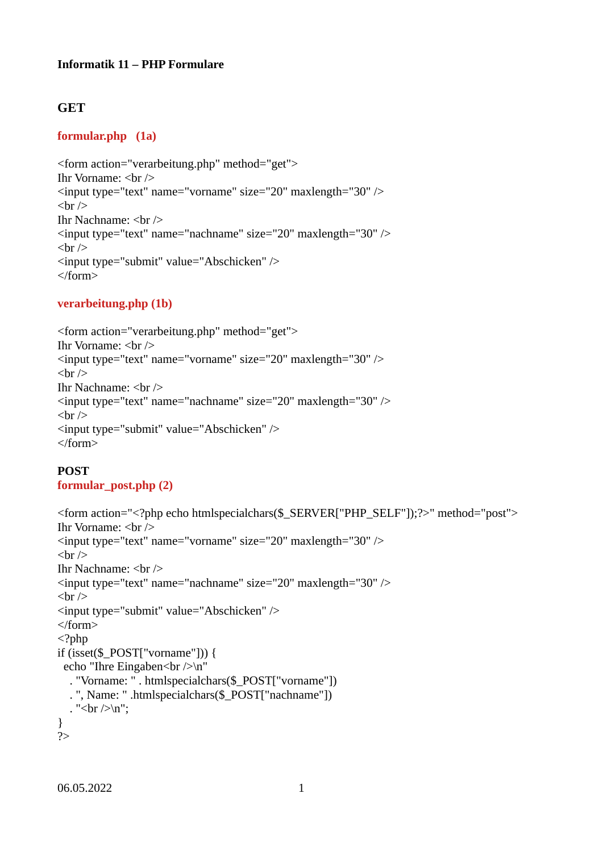#### **Informatik 11 – PHP Formulare**

# **GET**

# **formular.php (1a)**

```
<form action="verarbeitung.php" method="get">
Ihr Vorname: \langlebr \rangle<input type="text" name="vorname" size="20" maxlength="30" />
\braket{\text{br}}Ihr Nachname: <br/> \langle\leinput type="text" name="nachname" size="20" maxlength="30" />
\braket{\text{br}}<input type="submit" value="Abschicken" />
</form>
```
# **verarbeitung.php (1b)**

```
<form action="verarbeitung.php" method="get">
Ihr Vorname: <br />
<input type="text" name="vorname" size="20" maxlength="30" />
\braket{\text{br}}Ihr Nachname: \langlebr \rangle\leinput type="text" name="nachname" size="20" maxlength="30" />
<br>Br/<input type="submit" value="Abschicken" />
</form>
```
# **POST**

# **formular\_post.php (2)**

```
<form action="<?php echo htmlspecialchars($_SERVER["PHP_SELF"]);?>" method="post">
Ihr Vorname: <br />
\leinput type="text" name="vorname" size="20" maxlength="30" />
\braket{\text{br}}Ihr Nachname: \langlebr \rangle>
\leinput type="text" name="nachname" size="20" maxlength="30" />
\braket{\text{br}}<input type="submit" value="Abschicken" />
</form>
<?php
if (isset($_POST["vorname"])) {
 echo "Ihre Eingaben<br/>>br />\n"
   . "Vorname: " . htmlspecialchars($_POST["vorname"])
   . ", Name: " .htmlspecialchars($_POST["nachname"]) 
  . "<br/>br />\n";
}
?>
```